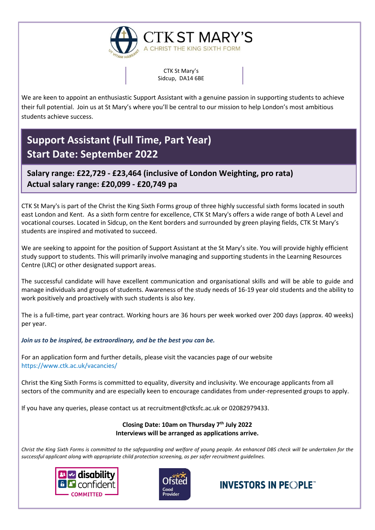

CTK St Mary's Sidcup, DA14 6BE

We are keen to appoint an enthusiastic Support Assistant with a genuine passion in supporting students to achieve their full potential. Join us at St Mary's where you'll be central to our mission to help London's most ambitious students achieve success.

# **Support Assistant (Full Time, Part Year) Start Date: September 2022**

**Salary range: £22,729 - £23,464 (inclusive of London Weighting, pro rata) Actual salary range: £20,099 - £20,749 pa**

CTK St Mary's is part of the Christ the King Sixth Forms group of three highly successful sixth forms located in south east London and Kent. As a sixth form centre for excellence, CTK St Mary's offers a wide range of both A Level and vocational courses. Located in Sidcup, on the Kent borders and surrounded by green playing fields, CTK St Mary's students are inspired and motivated to succeed.

We are seeking to appoint for the position of Support Assistant at the St Mary's site. You will provide highly efficient study support to students. This will primarily involve managing and supporting students in the Learning Resources Centre (LRC) or other designated support areas.

The successful candidate will have excellent communication and organisational skills and will be able to guide and manage individuals and groups of students. Awareness of the study needs of 16-19 year old students and the ability to work positively and proactively with such students is also key.

The is a full-time, part year contract. Working hours are 36 hours per week worked over 200 days (approx. 40 weeks) per year.

*Join us to be inspired, be extraordinary, and be the best you can be.*

For an application form and further details, please visit the vacancies page of our website <https://www.ctk.ac.uk/vacancies/>

Christ the King Sixth Forms is committed to equality, diversity and inclusivity. We encourage applicants from all sectors of the community and are especially keen to encourage candidates from under-represented groups to apply.

If you have any queries, please contact us at recruitment@ctksfc.ac.uk or 02082979433.

#### **Closing Date: 10am on Thursday 7th July 2022 Interviews will be arranged as applications arrive.**

*Christ the King Sixth Forms is committed to the safeguarding and welfare of young people. An enhanced DBS check will be undertaken for the successful applicant along with appropriate child protection screening, as per safer recruitment guidelines.*





## **INVESTORS IN PEOPLE**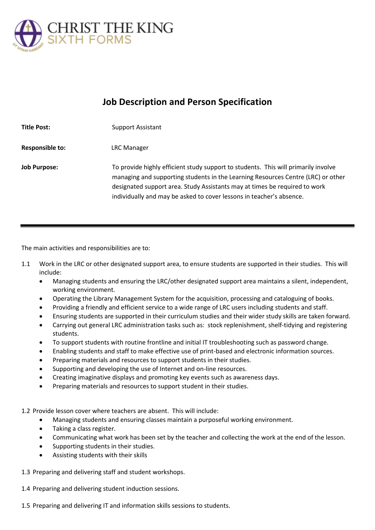

## **Job Description and Person Specification**

| <b>Title Post:</b>     | <b>Support Assistant</b>                                                                                                                                                                                                                                                                                                     |
|------------------------|------------------------------------------------------------------------------------------------------------------------------------------------------------------------------------------------------------------------------------------------------------------------------------------------------------------------------|
| <b>Responsible to:</b> | <b>LRC Manager</b>                                                                                                                                                                                                                                                                                                           |
| <b>Job Purpose:</b>    | To provide highly efficient study support to students. This will primarily involve<br>managing and supporting students in the Learning Resources Centre (LRC) or other<br>designated support area. Study Assistants may at times be required to work<br>individually and may be asked to cover lessons in teacher's absence. |

The main activities and responsibilities are to:

- 1.1 Work in the LRC or other designated support area, to ensure students are supported in their studies. This will include:
	- Managing students and ensuring the LRC/other designated support area maintains a silent, independent, working environment.
	- Operating the Library Management System for the acquisition, processing and cataloguing of books.
	- Providing a friendly and efficient service to a wide range of LRC users including students and staff.
	- Ensuring students are supported in their curriculum studies and their wider study skills are taken forward.
	- Carrying out general LRC administration tasks such as: stock replenishment, shelf-tidying and registering students.
	- To support students with routine frontline and initial IT troubleshooting such as password change.
	- Enabling students and staff to make effective use of print-based and electronic information sources.
	- Preparing materials and resources to support students in their studies.
	- Supporting and developing the use of Internet and on-line resources.
	- Creating imaginative displays and promoting key events such as awareness days.
	- Preparing materials and resources to support student in their studies.

1.2 Provide lesson cover where teachers are absent. This will include:

- Managing students and ensuring classes maintain a purposeful working environment.
- Taking a class register.
- Communicating what work has been set by the teacher and collecting the work at the end of the lesson.
- Supporting students in their studies.
- Assisting students with their skills

1.3 Preparing and delivering staff and student workshops.

- 1.4 Preparing and delivering student induction sessions.
- 1.5 Preparing and delivering IT and information skills sessions to students.